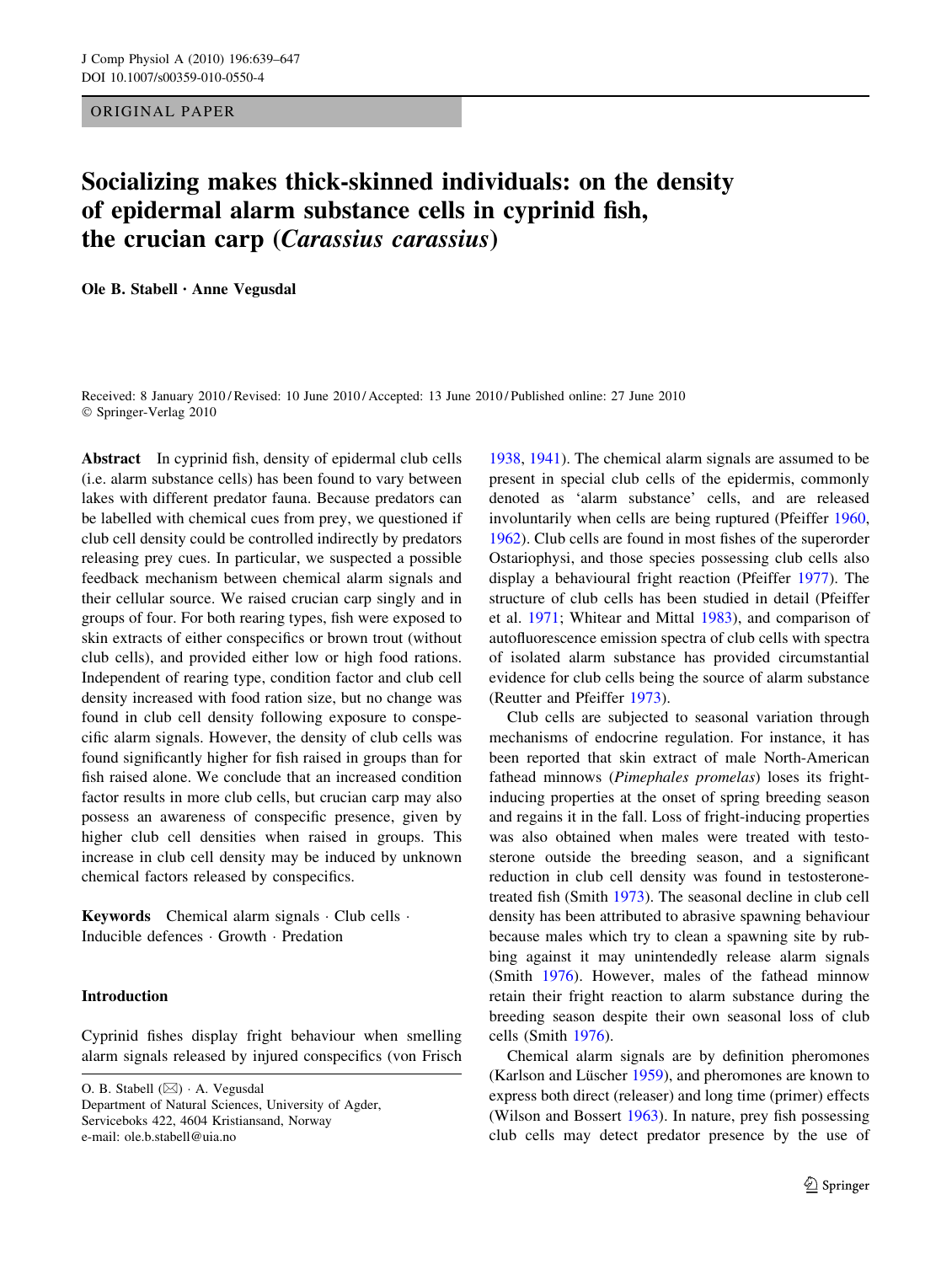# ORIGINAL PAPER

# Socializing makes thick-skinned individuals: on the density of epidermal alarm substance cells in cyprinid fish, the crucian carp (Carassius carassius)

Ole B. Stabell • Anne Vegusdal

Received: 8 January 2010 / Revised: 10 June 2010 / Accepted: 13 June 2010 / Published online: 27 June 2010 © Springer-Verlag 2010

Abstract In cyprinid fish, density of epidermal club cells (i.e. alarm substance cells) has been found to vary between lakes with different predator fauna. Because predators can be labelled with chemical cues from prey, we questioned if club cell density could be controlled indirectly by predators releasing prey cues. In particular, we suspected a possible feedback mechanism between chemical alarm signals and their cellular source. We raised crucian carp singly and in groups of four. For both rearing types, fish were exposed to skin extracts of either conspecifics or brown trout (without club cells), and provided either low or high food rations. Independent of rearing type, condition factor and club cell density increased with food ration size, but no change was found in club cell density following exposure to conspecific alarm signals. However, the density of club cells was found significantly higher for fish raised in groups than for fish raised alone. We conclude that an increased condition factor results in more club cells, but crucian carp may also possess an awareness of conspecific presence, given by higher club cell densities when raised in groups. This increase in club cell density may be induced by unknown chemical factors released by conspecifics.

Keywords Chemical alarm signals  $\cdot$  Club cells  $\cdot$ Inducible defences - Growth - Predation

# Introduction

Cyprinid fishes display fright behaviour when smelling alarm signals released by injured conspecifics (von Frisch

O. B. Stabell  $(\boxtimes) \cdot A$ . Vegusdal

Department of Natural Sciences, University of Agder, Serviceboks 422, 4604 Kristiansand, Norway e-mail: ole.b.stabell@uia.no

[1938](#page-8-0), [1941](#page-8-0)). The chemical alarm signals are assumed to be present in special club cells of the epidermis, commonly denoted as 'alarm substance' cells, and are released involuntarily when cells are being ruptured (Pfeiffer [1960,](#page-7-0) [1962](#page-7-0)). Club cells are found in most fishes of the superorder Ostariophysi, and those species possessing club cells also display a behavioural fright reaction (Pfeiffer [1977\)](#page-7-0). The structure of club cells has been studied in detail (Pfeiffer et al. [1971](#page-8-0); Whitear and Mittal [1983](#page-8-0)), and comparison of autofluorescence emission spectra of club cells with spectra of isolated alarm substance has provided circumstantial evidence for club cells being the source of alarm substance (Reutter and Pfeiffer [1973\)](#page-8-0).

Club cells are subjected to seasonal variation through mechanisms of endocrine regulation. For instance, it has been reported that skin extract of male North-American fathead minnows (Pimephales promelas) loses its frightinducing properties at the onset of spring breeding season and regains it in the fall. Loss of fright-inducing properties was also obtained when males were treated with testosterone outside the breeding season, and a significant reduction in club cell density was found in testosteronetreated fish (Smith [1973](#page-8-0)). The seasonal decline in club cell density has been attributed to abrasive spawning behaviour because males which try to clean a spawning site by rubbing against it may unintendedly release alarm signals (Smith [1976](#page-8-0)). However, males of the fathead minnow retain their fright reaction to alarm substance during the breeding season despite their own seasonal loss of club cells (Smith [1976](#page-8-0)).

Chemical alarm signals are by definition pheromones (Karlson and Lüscher [1959](#page-7-0)), and pheromones are known to express both direct (releaser) and long time (primer) effects (Wilson and Bossert [1963](#page-8-0)). In nature, prey fish possessing club cells may detect predator presence by the use of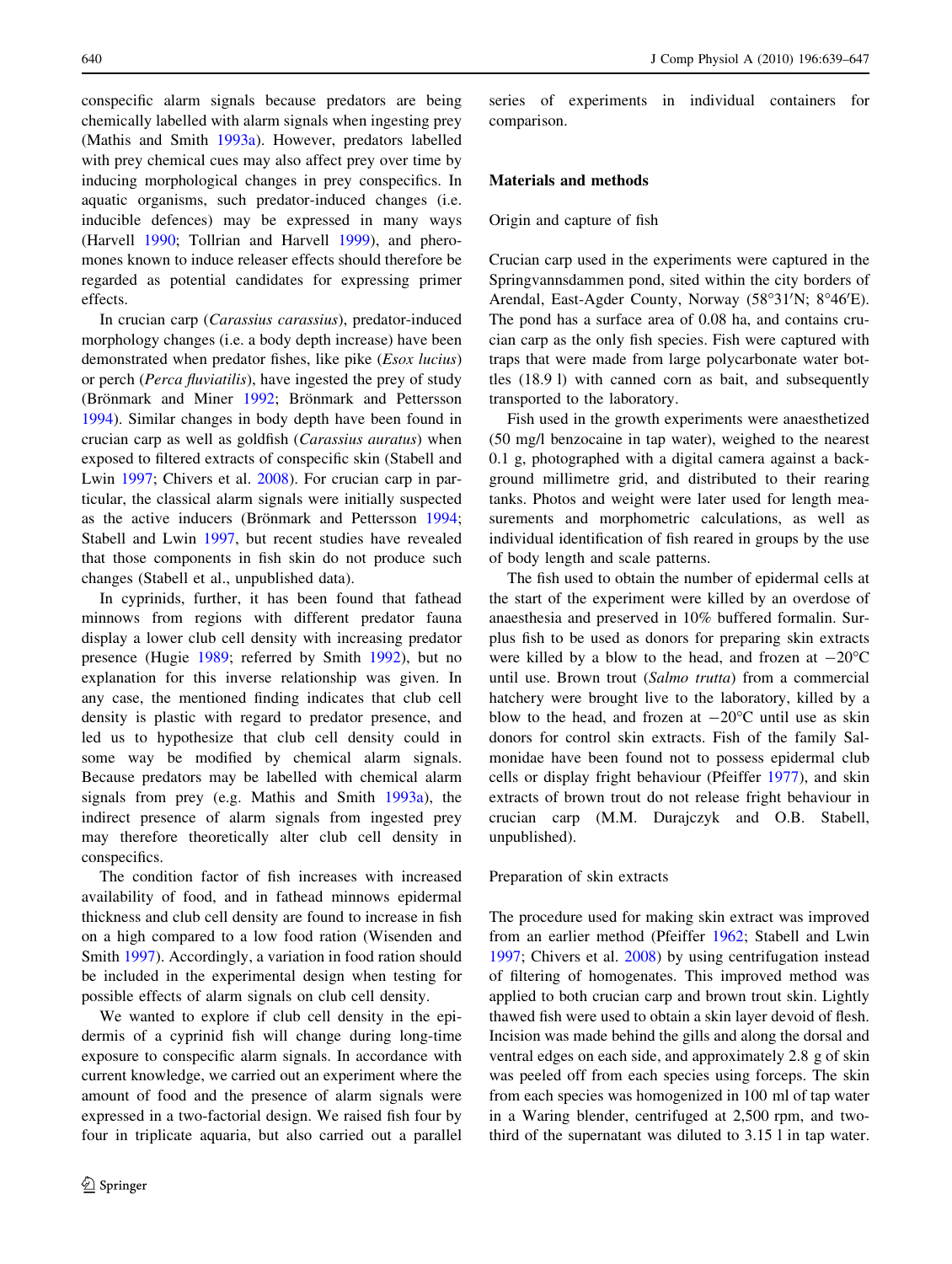conspecific alarm signals because predators are being chemically labelled with alarm signals when ingesting prey (Mathis and Smith [1993a](#page-7-0)). However, predators labelled with prey chemical cues may also affect prey over time by inducing morphological changes in prey conspecifics. In aquatic organisms, such predator-induced changes (i.e. inducible defences) may be expressed in many ways (Harvell [1990;](#page-7-0) Tollrian and Harvell [1999\)](#page-8-0), and pheromones known to induce releaser effects should therefore be regarded as potential candidates for expressing primer effects.

In crucian carp (Carassius carassius), predator-induced morphology changes (i.e. a body depth increase) have been demonstrated when predator fishes, like pike (Esox lucius) or perch (Perca fluviatilis), have ingested the prey of study (Brönmark and Miner [1992](#page-7-0); Brönmark and Pettersson [1994\)](#page-7-0). Similar changes in body depth have been found in crucian carp as well as goldfish (Carassius auratus) when exposed to filtered extracts of conspecific skin (Stabell and Lwin [1997;](#page-8-0) Chivers et al. [2008\)](#page-7-0). For crucian carp in particular, the classical alarm signals were initially suspected as the active inducers (Brönmark and Pettersson [1994](#page-7-0); Stabell and Lwin [1997](#page-8-0), but recent studies have revealed that those components in fish skin do not produce such changes (Stabell et al., unpublished data).

In cyprinids, further, it has been found that fathead minnows from regions with different predator fauna display a lower club cell density with increasing predator presence (Hugie [1989](#page-7-0); referred by Smith [1992\)](#page-8-0), but no explanation for this inverse relationship was given. In any case, the mentioned finding indicates that club cell density is plastic with regard to predator presence, and led us to hypothesize that club cell density could in some way be modified by chemical alarm signals. Because predators may be labelled with chemical alarm signals from prey (e.g. Mathis and Smith [1993a](#page-7-0)), the indirect presence of alarm signals from ingested prey may therefore theoretically alter club cell density in conspecifics.

The condition factor of fish increases with increased availability of food, and in fathead minnows epidermal thickness and club cell density are found to increase in fish on a high compared to a low food ration (Wisenden and Smith [1997](#page-8-0)). Accordingly, a variation in food ration should be included in the experimental design when testing for possible effects of alarm signals on club cell density.

We wanted to explore if club cell density in the epidermis of a cyprinid fish will change during long-time exposure to conspecific alarm signals. In accordance with current knowledge, we carried out an experiment where the amount of food and the presence of alarm signals were expressed in a two-factorial design. We raised fish four by four in triplicate aquaria, but also carried out a parallel

series of experiments in individual containers for comparison.

# Materials and methods

## Origin and capture of fish

Crucian carp used in the experiments were captured in the Springvannsdammen pond, sited within the city borders of Arendal, East-Agder County, Norway (58°31'N; 8°46'E). The pond has a surface area of 0.08 ha, and contains crucian carp as the only fish species. Fish were captured with traps that were made from large polycarbonate water bottles (18.9 l) with canned corn as bait, and subsequently transported to the laboratory.

Fish used in the growth experiments were anaesthetized (50 mg/l benzocaine in tap water), weighed to the nearest 0.1 g, photographed with a digital camera against a background millimetre grid, and distributed to their rearing tanks. Photos and weight were later used for length measurements and morphometric calculations, as well as individual identification of fish reared in groups by the use of body length and scale patterns.

The fish used to obtain the number of epidermal cells at the start of the experiment were killed by an overdose of anaesthesia and preserved in 10% buffered formalin. Surplus fish to be used as donors for preparing skin extracts were killed by a blow to the head, and frozen at  $-20^{\circ}$ C until use. Brown trout (Salmo trutta) from a commercial hatchery were brought live to the laboratory, killed by a blow to the head, and frozen at  $-20^{\circ}$ C until use as skin donors for control skin extracts. Fish of the family Salmonidae have been found not to possess epidermal club cells or display fright behaviour (Pfeiffer [1977\)](#page-7-0), and skin extracts of brown trout do not release fright behaviour in crucian carp (M.M. Durajczyk and O.B. Stabell, unpublished).

#### Preparation of skin extracts

The procedure used for making skin extract was improved from an earlier method (Pfeiffer [1962;](#page-7-0) Stabell and Lwin [1997](#page-8-0); Chivers et al. [2008\)](#page-7-0) by using centrifugation instead of filtering of homogenates. This improved method was applied to both crucian carp and brown trout skin. Lightly thawed fish were used to obtain a skin layer devoid of flesh. Incision was made behind the gills and along the dorsal and ventral edges on each side, and approximately 2.8 g of skin was peeled off from each species using forceps. The skin from each species was homogenized in 100 ml of tap water in a Waring blender, centrifuged at 2,500 rpm, and twothird of the supernatant was diluted to 3.15 l in tap water.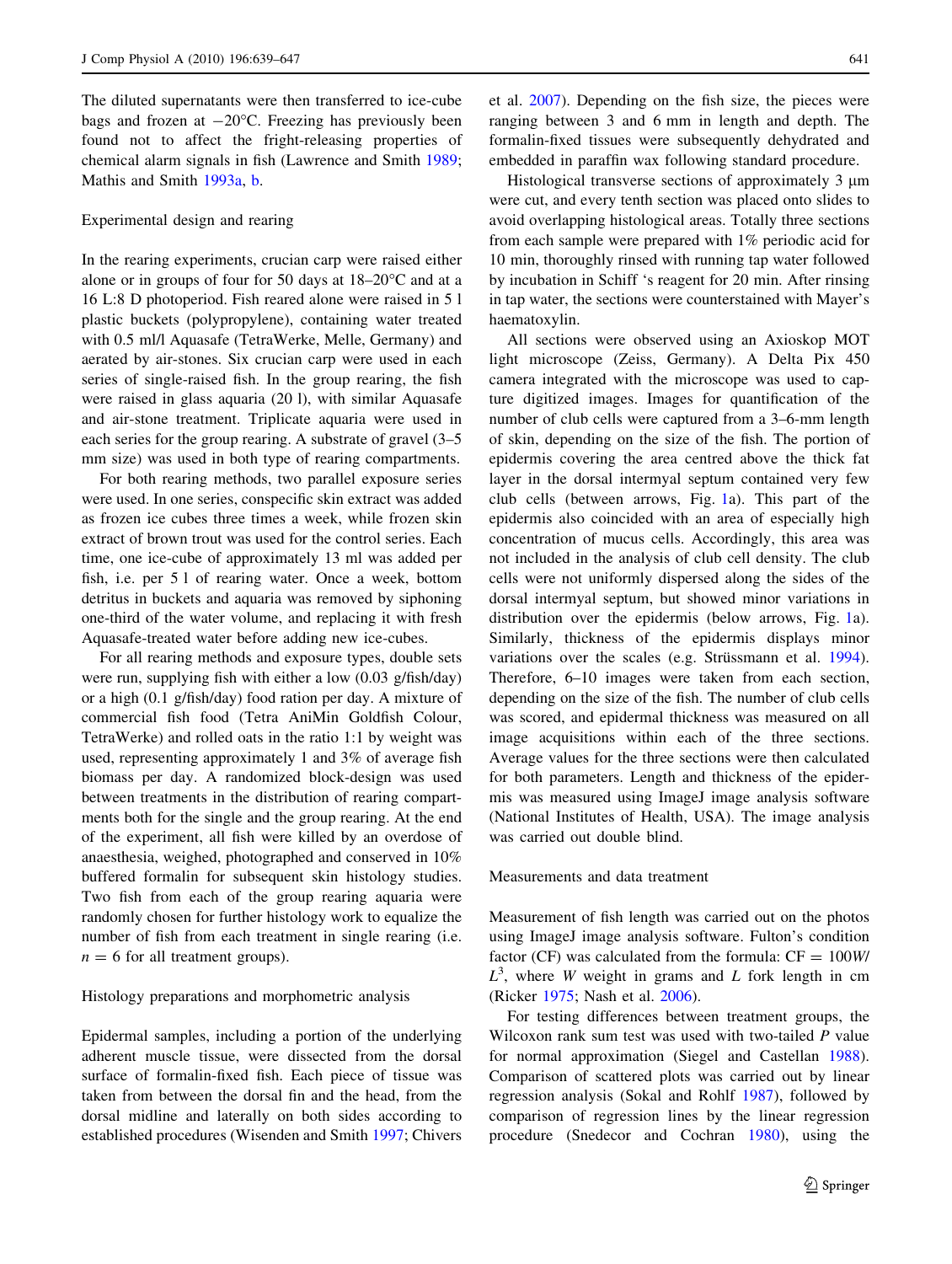The diluted supernatants were then transferred to ice-cube bags and frozen at  $-20^{\circ}$ C. Freezing has previously been found not to affect the fright-releasing properties of chemical alarm signals in fish (Lawrence and Smith [1989](#page-7-0); Mathis and Smith [1993a,](#page-7-0) [b](#page-7-0).

# Experimental design and rearing

In the rearing experiments, crucian carp were raised either alone or in groups of four for 50 days at  $18-20^{\circ}$ C and at a 16 L:8 D photoperiod. Fish reared alone were raised in 5 l plastic buckets (polypropylene), containing water treated with 0.5 ml/l Aquasafe (TetraWerke, Melle, Germany) and aerated by air-stones. Six crucian carp were used in each series of single-raised fish. In the group rearing, the fish were raised in glass aquaria (20 l), with similar Aquasafe and air-stone treatment. Triplicate aquaria were used in each series for the group rearing. A substrate of gravel (3–5 mm size) was used in both type of rearing compartments.

For both rearing methods, two parallel exposure series were used. In one series, conspecific skin extract was added as frozen ice cubes three times a week, while frozen skin extract of brown trout was used for the control series. Each time, one ice-cube of approximately 13 ml was added per fish, i.e. per 5 l of rearing water. Once a week, bottom detritus in buckets and aquaria was removed by siphoning one-third of the water volume, and replacing it with fresh Aquasafe-treated water before adding new ice-cubes.

For all rearing methods and exposure types, double sets were run, supplying fish with either a low (0.03 g/fish/day) or a high (0.1 g/fish/day) food ration per day. A mixture of commercial fish food (Tetra AniMin Goldfish Colour, TetraWerke) and rolled oats in the ratio 1:1 by weight was used, representing approximately 1 and 3% of average fish biomass per day. A randomized block-design was used between treatments in the distribution of rearing compartments both for the single and the group rearing. At the end of the experiment, all fish were killed by an overdose of anaesthesia, weighed, photographed and conserved in 10% buffered formalin for subsequent skin histology studies. Two fish from each of the group rearing aquaria were randomly chosen for further histology work to equalize the number of fish from each treatment in single rearing (i.e.  $n = 6$  for all treatment groups).

## Histology preparations and morphometric analysis

Epidermal samples, including a portion of the underlying adherent muscle tissue, were dissected from the dorsal surface of formalin-fixed fish. Each piece of tissue was taken from between the dorsal fin and the head, from the dorsal midline and laterally on both sides according to established procedures (Wisenden and Smith [1997;](#page-8-0) Chivers et al. [2007](#page-7-0)). Depending on the fish size, the pieces were ranging between 3 and 6 mm in length and depth. The formalin-fixed tissues were subsequently dehydrated and embedded in paraffin wax following standard procedure.

Histological transverse sections of approximately 3  $\mu$ m were cut, and every tenth section was placed onto slides to avoid overlapping histological areas. Totally three sections from each sample were prepared with 1% periodic acid for 10 min, thoroughly rinsed with running tap water followed by incubation in Schiff 's reagent for 20 min. After rinsing in tap water, the sections were counterstained with Mayer's haematoxylin.

All sections were observed using an Axioskop MOT light microscope (Zeiss, Germany). A Delta Pix 450 camera integrated with the microscope was used to capture digitized images. Images for quantification of the number of club cells were captured from a 3–6-mm length of skin, depending on the size of the fish. The portion of epidermis covering the area centred above the thick fat layer in the dorsal intermyal septum contained very few club cells (between arrows, Fig. [1](#page-3-0)a). This part of the epidermis also coincided with an area of especially high concentration of mucus cells. Accordingly, this area was not included in the analysis of club cell density. The club cells were not uniformly dispersed along the sides of the dorsal intermyal septum, but showed minor variations in distribution over the epidermis (below arrows, Fig. [1a](#page-3-0)). Similarly, thickness of the epidermis displays minor variations over the scales (e.g. Strüssmann et al. [1994](#page-8-0)). Therefore, 6–10 images were taken from each section, depending on the size of the fish. The number of club cells was scored, and epidermal thickness was measured on all image acquisitions within each of the three sections. Average values for the three sections were then calculated for both parameters. Length and thickness of the epidermis was measured using ImageJ image analysis software (National Institutes of Health, USA). The image analysis was carried out double blind.

## Measurements and data treatment

Measurement of fish length was carried out on the photos using ImageJ image analysis software. Fulton's condition factor (CF) was calculated from the formula:  $CF = 100W/$  $L^3$ , where W weight in grams and L fork length in cm (Ricker [1975](#page-8-0); Nash et al. [2006](#page-7-0)).

For testing differences between treatment groups, the Wilcoxon rank sum test was used with two-tailed P value for normal approximation (Siegel and Castellan [1988](#page-8-0)). Comparison of scattered plots was carried out by linear regression analysis (Sokal and Rohlf [1987](#page-8-0)), followed by comparison of regression lines by the linear regression procedure (Snedecor and Cochran [1980](#page-8-0)), using the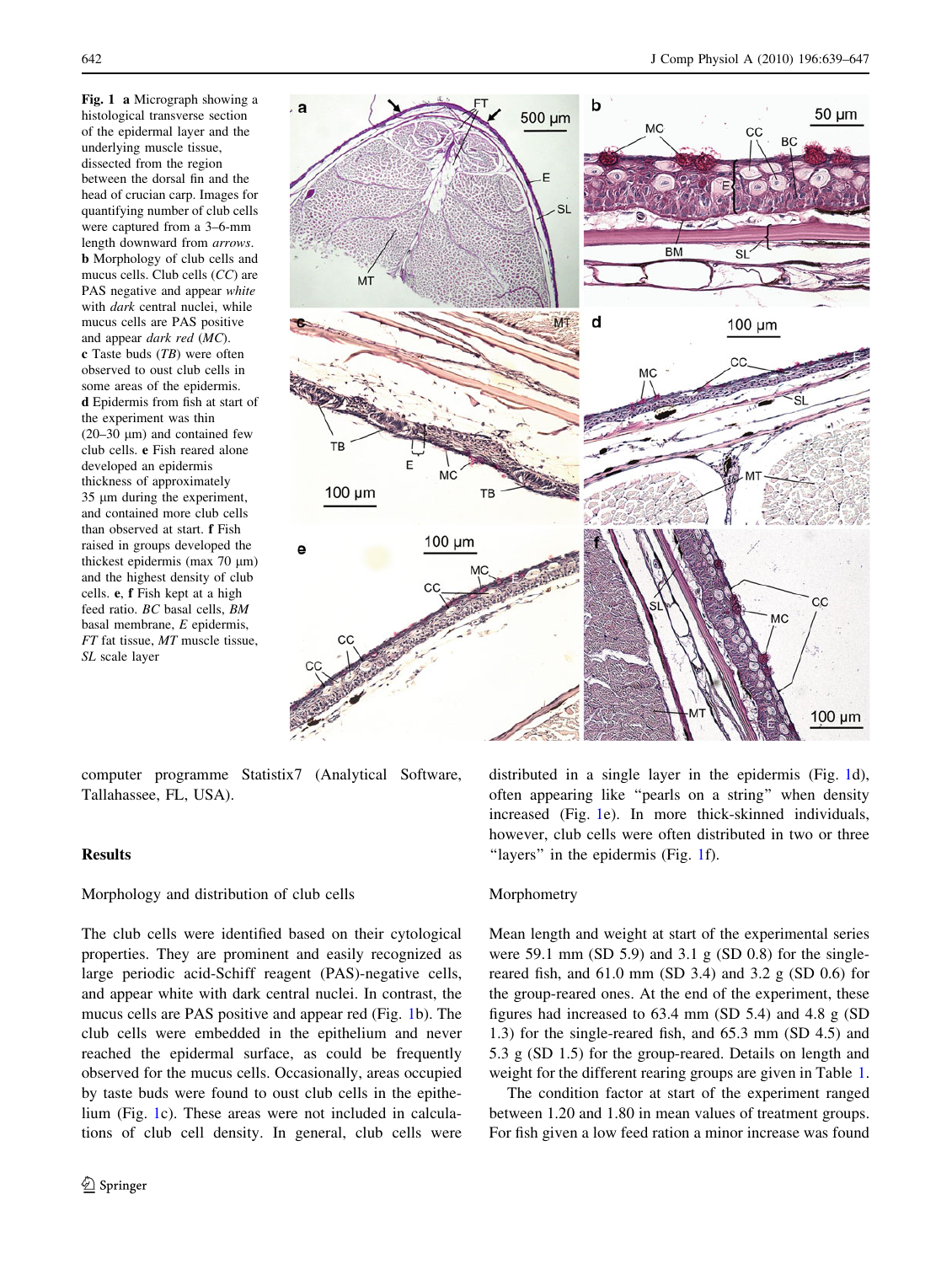<span id="page-3-0"></span>Fig. 1 a Micrograph showing a histological transverse section of the epidermal layer and the underlying muscle tissue, dissected from the region between the dorsal fin and the head of crucian carp. Images for quantifying number of club cells were captured from a 3–6-mm length downward from arrows. b Morphology of club cells and mucus cells. Club cells (CC) are PAS negative and appear white with *dark* central nuclei, while mucus cells are PAS positive and appear dark red (MC). c Taste buds (TB) were often observed to oust club cells in some areas of the epidermis. d Epidermis from fish at start of the experiment was thin  $(20-30 \mu m)$  and contained few club cells. e Fish reared alone developed an epidermis thickness of approximately 35 lm during the experiment, and contained more club cells than observed at start. f Fish raised in groups developed the thickest epidermis (max  $70 \mu m$ ) and the highest density of club cells. e, f Fish kept at a high feed ratio. BC basal cells, BM basal membrane, E epidermis, FT fat tissue, MT muscle tissue, SL scale layer



computer programme Statistix7 (Analytical Software, Tallahassee, FL, USA).

# Results

#### Morphology and distribution of club cells

The club cells were identified based on their cytological properties. They are prominent and easily recognized as large periodic acid-Schiff reagent (PAS)-negative cells, and appear white with dark central nuclei. In contrast, the mucus cells are PAS positive and appear red (Fig. 1b). The club cells were embedded in the epithelium and never reached the epidermal surface, as could be frequently observed for the mucus cells. Occasionally, areas occupied by taste buds were found to oust club cells in the epithelium (Fig. 1c). These areas were not included in calculations of club cell density. In general, club cells were

distributed in a single layer in the epidermis (Fig. 1d), often appearing like ''pearls on a string'' when density increased (Fig. 1e). In more thick-skinned individuals, however, club cells were often distributed in two or three "layers" in the epidermis (Fig. 1f).

#### Morphometry

Mean length and weight at start of the experimental series were 59.1 mm (SD 5.9) and 3.1 g (SD 0.8) for the singlereared fish, and  $61.0$  mm (SD 3.4) and 3.2 g (SD 0.6) for the group-reared ones. At the end of the experiment, these figures had increased to 63.4 mm (SD 5.4) and 4.8 g (SD 1.3) for the single-reared fish, and 65.3 mm (SD 4.5) and 5.3 g (SD 1.5) for the group-reared. Details on length and weight for the different rearing groups are given in Table [1.](#page-4-0)

The condition factor at start of the experiment ranged between 1.20 and 1.80 in mean values of treatment groups. For fish given a low feed ration a minor increase was found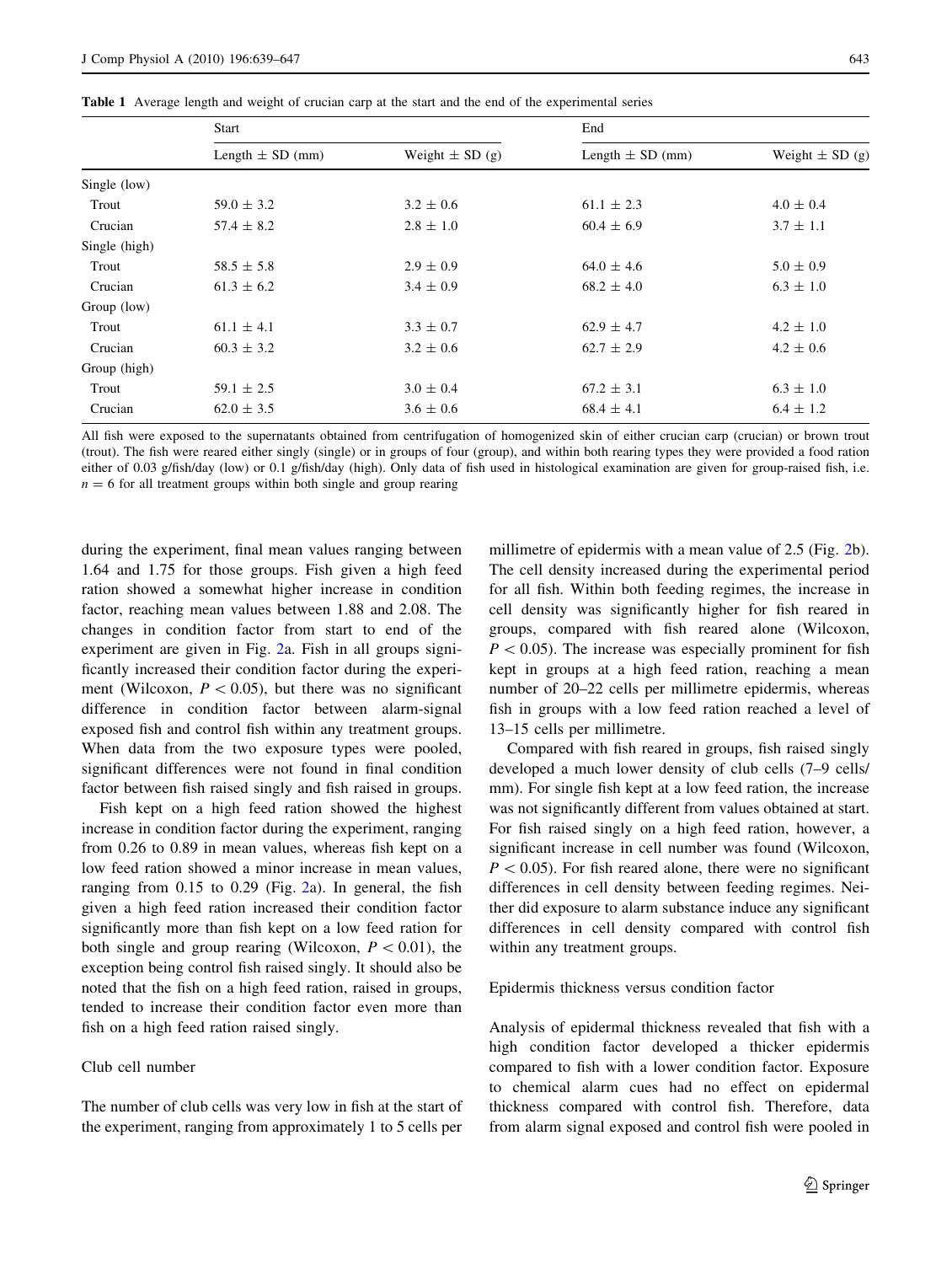<span id="page-4-0"></span>

|  |  |  |  |  | <b>Table 1</b> Average length and weight of crucian carp at the start and the end of the experimental series |
|--|--|--|--|--|--------------------------------------------------------------------------------------------------------------|
|--|--|--|--|--|--------------------------------------------------------------------------------------------------------------|

|               | Start                |                     | End                  |                     |
|---------------|----------------------|---------------------|----------------------|---------------------|
|               | Length $\pm$ SD (mm) | Weight $\pm$ SD (g) | Length $\pm$ SD (mm) | Weight $\pm$ SD (g) |
| Single (low)  |                      |                     |                      |                     |
| Trout         | $59.0 \pm 3.2$       | $3.2 \pm 0.6$       | $61.1 \pm 2.3$       | $4.0 \pm 0.4$       |
| Crucian       | $57.4 \pm 8.2$       | $2.8 \pm 1.0$       | $60.4 \pm 6.9$       | $3.7 \pm 1.1$       |
| Single (high) |                      |                     |                      |                     |
| Trout         | $58.5 \pm 5.8$       | $2.9 \pm 0.9$       | $64.0 \pm 4.6$       | $5.0 \pm 0.9$       |
| Crucian       | $61.3 \pm 6.2$       | $3.4 \pm 0.9$       | $68.2 \pm 4.0$       | $6.3 \pm 1.0$       |
| Group (low)   |                      |                     |                      |                     |
| Trout         | $61.1 \pm 4.1$       | $3.3 \pm 0.7$       | $62.9 \pm 4.7$       | $4.2 \pm 1.0$       |
| Crucian       | $60.3 \pm 3.2$       | $3.2 \pm 0.6$       | $62.7 \pm 2.9$       | $4.2 \pm 0.6$       |
| Group (high)  |                      |                     |                      |                     |
| Trout         | $59.1 \pm 2.5$       | $3.0 \pm 0.4$       | $67.2 \pm 3.1$       | $6.3 \pm 1.0$       |
| Crucian       | $62.0 \pm 3.5$       | $3.6 \pm 0.6$       | $68.4 \pm 4.1$       | $6.4 \pm 1.2$       |

All fish were exposed to the supernatants obtained from centrifugation of homogenized skin of either crucian carp (crucian) or brown trout (trout). The fish were reared either singly (single) or in groups of four (group), and within both rearing types they were provided a food ration either of 0.03 g/fish/day (low) or 0.1 g/fish/day (high). Only data of fish used in histological examination are given for group-raised fish, i.e.  $n = 6$  for all treatment groups within both single and group rearing

during the experiment, final mean values ranging between 1.64 and 1.75 for those groups. Fish given a high feed ration showed a somewhat higher increase in condition factor, reaching mean values between 1.88 and 2.08. The changes in condition factor from start to end of the experiment are given in Fig. [2a](#page-5-0). Fish in all groups significantly increased their condition factor during the experiment (Wilcoxon,  $P < 0.05$ ), but there was no significant difference in condition factor between alarm-signal exposed fish and control fish within any treatment groups. When data from the two exposure types were pooled, significant differences were not found in final condition factor between fish raised singly and fish raised in groups.

Fish kept on a high feed ration showed the highest increase in condition factor during the experiment, ranging from 0.26 to 0.89 in mean values, whereas fish kept on a low feed ration showed a minor increase in mean values, ranging from 0.15 to 0.29 (Fig. [2a](#page-5-0)). In general, the fish given a high feed ration increased their condition factor significantly more than fish kept on a low feed ration for both single and group rearing (Wilcoxon,  $P \leq 0.01$ ), the exception being control fish raised singly. It should also be noted that the fish on a high feed ration, raised in groups, tended to increase their condition factor even more than fish on a high feed ration raised singly.

## Club cell number

The number of club cells was very low in fish at the start of the experiment, ranging from approximately 1 to 5 cells per millimetre of epidermis with a mean value of [2](#page-5-0).5 (Fig. 2b). The cell density increased during the experimental period for all fish. Within both feeding regimes, the increase in cell density was significantly higher for fish reared in groups, compared with fish reared alone (Wilcoxon,  $P < 0.05$ ). The increase was especially prominent for fish kept in groups at a high feed ration, reaching a mean number of 20–22 cells per millimetre epidermis, whereas fish in groups with a low feed ration reached a level of 13–15 cells per millimetre.

Compared with fish reared in groups, fish raised singly developed a much lower density of club cells (7–9 cells/ mm). For single fish kept at a low feed ration, the increase was not significantly different from values obtained at start. For fish raised singly on a high feed ration, however, a significant increase in cell number was found (Wilcoxon,  $P < 0.05$ ). For fish reared alone, there were no significant differences in cell density between feeding regimes. Neither did exposure to alarm substance induce any significant differences in cell density compared with control fish within any treatment groups.

#### Epidermis thickness versus condition factor

Analysis of epidermal thickness revealed that fish with a high condition factor developed a thicker epidermis compared to fish with a lower condition factor. Exposure to chemical alarm cues had no effect on epidermal thickness compared with control fish. Therefore, data from alarm signal exposed and control fish were pooled in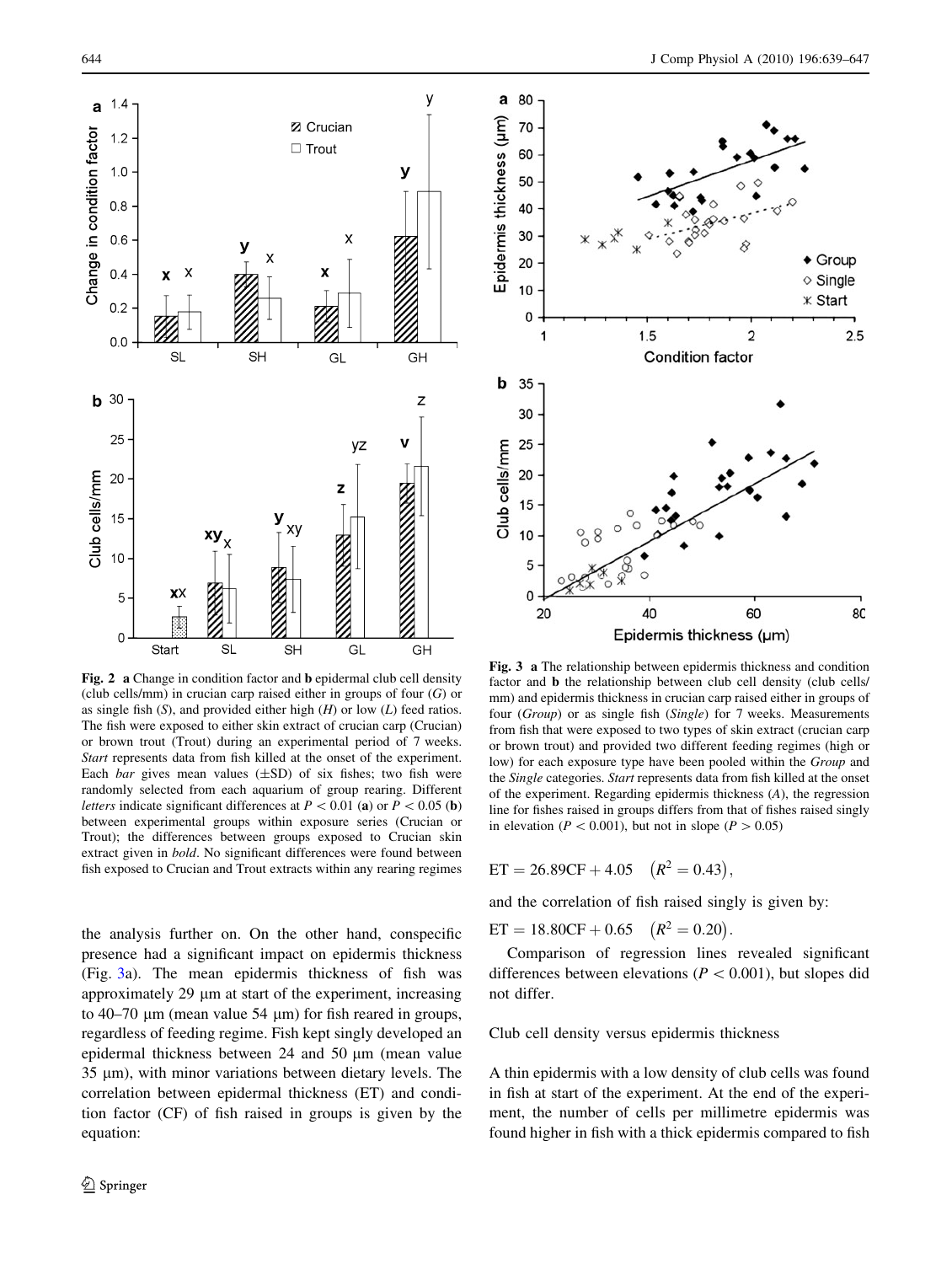<span id="page-5-0"></span>

Fig. 2 a Change in condition factor and **b** epidermal club cell density (club cells/mm) in crucian carp raised either in groups of four  $(G)$  or as single fish  $(S)$ , and provided either high  $(H)$  or low  $(L)$  feed ratios. The fish were exposed to either skin extract of crucian carp (Crucian) or brown trout (Trout) during an experimental period of 7 weeks. Start represents data from fish killed at the onset of the experiment. Each bar gives mean values  $(\pm SD)$  of six fishes; two fish were randomly selected from each aquarium of group rearing. Different *letters* indicate significant differences at  $P < 0.01$  (a) or  $P < 0.05$  (b) between experimental groups within exposure series (Crucian or Trout); the differences between groups exposed to Crucian skin extract given in bold. No significant differences were found between fish exposed to Crucian and Trout extracts within any rearing regimes

the analysis further on. On the other hand, conspecific presence had a significant impact on epidermis thickness (Fig. 3a). The mean epidermis thickness of fish was approximately  $29 \mu m$  at start of the experiment, increasing to 40–70  $\mu$ m (mean value 54  $\mu$ m) for fish reared in groups, regardless of feeding regime. Fish kept singly developed an epidermal thickness between  $24$  and  $50 \mu m$  (mean value  $35 \mu m$ ), with minor variations between dietary levels. The correlation between epidermal thickness (ET) and condition factor (CF) of fish raised in groups is given by the equation:



Fig. 3 a The relationship between epidermis thickness and condition factor and b the relationship between club cell density (club cells/ mm) and epidermis thickness in crucian carp raised either in groups of four (Group) or as single fish (Single) for 7 weeks. Measurements from fish that were exposed to two types of skin extract (crucian carp or brown trout) and provided two different feeding regimes (high or low) for each exposure type have been pooled within the Group and the Single categories. Start represents data from fish killed at the onset of the experiment. Regarding epidermis thickness (A), the regression line for fishes raised in groups differs from that of fishes raised singly in elevation ( $P < 0.001$ ), but not in slope ( $P > 0.05$ )

 $ET = 26.89CF + 4.05 \quad (R^2 = 0.43),$ 

and the correlation of fish raised singly is given by:

$$
ET = 18.80CF + 0.65 \quad (R^2 = 0.20).
$$

Comparison of regression lines revealed significant differences between elevations ( $P \lt 0.001$ ), but slopes did not differ.

Club cell density versus epidermis thickness

A thin epidermis with a low density of club cells was found in fish at start of the experiment. At the end of the experiment, the number of cells per millimetre epidermis was found higher in fish with a thick epidermis compared to fish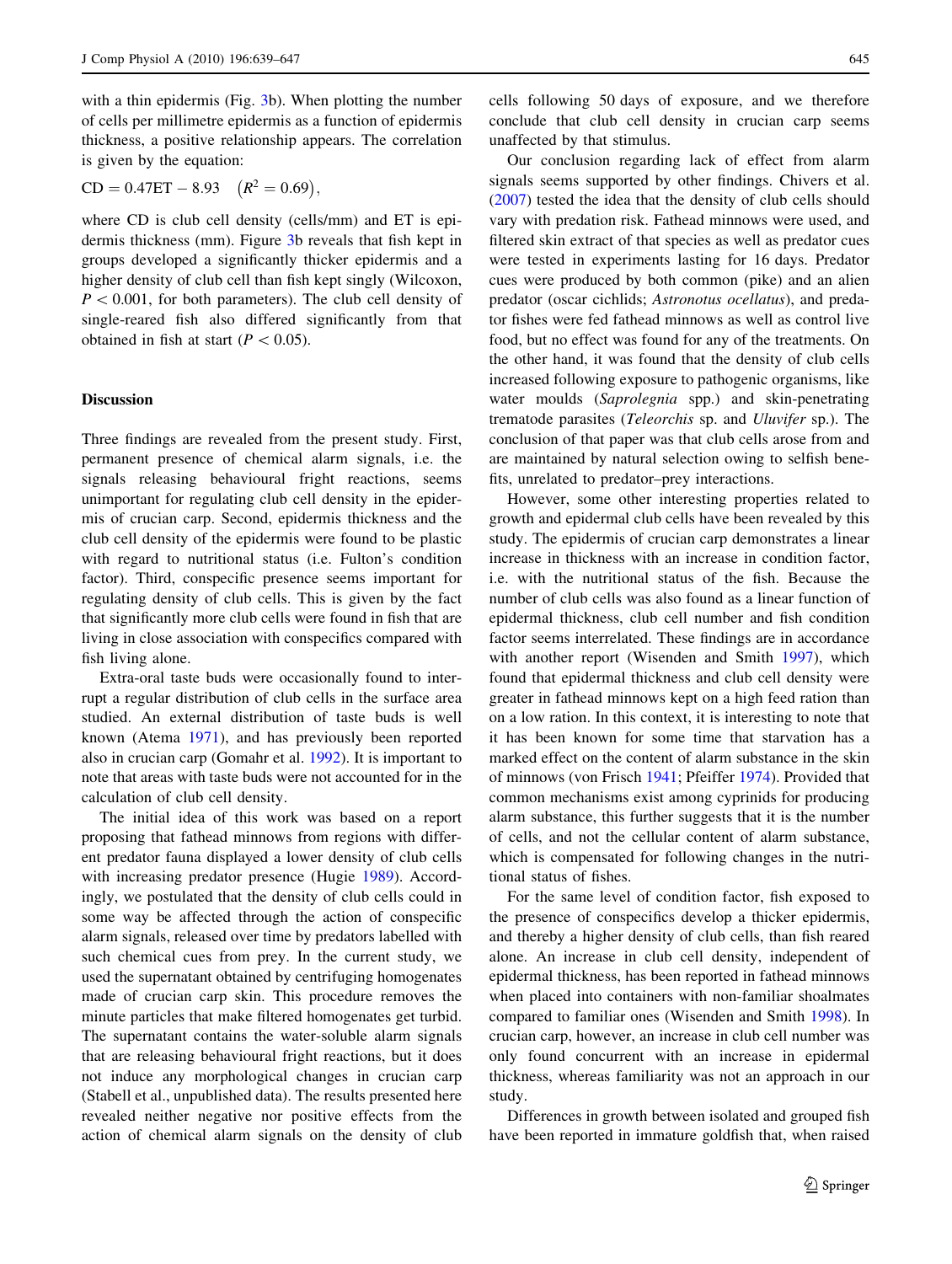with a thin epidermis (Fig. [3](#page-5-0)b). When plotting the number of cells per millimetre epidermis as a function of epidermis thickness, a positive relationship appears. The correlation is given by the equation:

$$
CD = 0.47ET - 8.93 \quad (R^2 = 0.69),
$$

where CD is club cell density (cells/mm) and ET is epidermis thickness (mm). Figure [3b](#page-5-0) reveals that fish kept in groups developed a significantly thicker epidermis and a higher density of club cell than fish kept singly (Wilcoxon,  $P < 0.001$ , for both parameters). The club cell density of single-reared fish also differed significantly from that obtained in fish at start ( $P < 0.05$ ).

#### Discussion

Three findings are revealed from the present study. First, permanent presence of chemical alarm signals, i.e. the signals releasing behavioural fright reactions, seems unimportant for regulating club cell density in the epidermis of crucian carp. Second, epidermis thickness and the club cell density of the epidermis were found to be plastic with regard to nutritional status (i.e. Fulton's condition factor). Third, conspecific presence seems important for regulating density of club cells. This is given by the fact that significantly more club cells were found in fish that are living in close association with conspecifics compared with fish living alone.

Extra-oral taste buds were occasionally found to interrupt a regular distribution of club cells in the surface area studied. An external distribution of taste buds is well known (Atema [1971\)](#page-7-0), and has previously been reported also in crucian carp (Gomahr et al. [1992](#page-7-0)). It is important to note that areas with taste buds were not accounted for in the calculation of club cell density.

The initial idea of this work was based on a report proposing that fathead minnows from regions with different predator fauna displayed a lower density of club cells with increasing predator presence (Hugie [1989\)](#page-7-0). Accordingly, we postulated that the density of club cells could in some way be affected through the action of conspecific alarm signals, released over time by predators labelled with such chemical cues from prey. In the current study, we used the supernatant obtained by centrifuging homogenates made of crucian carp skin. This procedure removes the minute particles that make filtered homogenates get turbid. The supernatant contains the water-soluble alarm signals that are releasing behavioural fright reactions, but it does not induce any morphological changes in crucian carp (Stabell et al., unpublished data). The results presented here revealed neither negative nor positive effects from the action of chemical alarm signals on the density of club cells following 50 days of exposure, and we therefore conclude that club cell density in crucian carp seems unaffected by that stimulus.

Our conclusion regarding lack of effect from alarm signals seems supported by other findings. Chivers et al. [\(2007](#page-7-0)) tested the idea that the density of club cells should vary with predation risk. Fathead minnows were used, and filtered skin extract of that species as well as predator cues were tested in experiments lasting for 16 days. Predator cues were produced by both common (pike) and an alien predator (oscar cichlids; Astronotus ocellatus), and predator fishes were fed fathead minnows as well as control live food, but no effect was found for any of the treatments. On the other hand, it was found that the density of club cells increased following exposure to pathogenic organisms, like water moulds (Saprolegnia spp.) and skin-penetrating trematode parasites (Teleorchis sp. and Uluvifer sp.). The conclusion of that paper was that club cells arose from and are maintained by natural selection owing to selfish benefits, unrelated to predator–prey interactions.

However, some other interesting properties related to growth and epidermal club cells have been revealed by this study. The epidermis of crucian carp demonstrates a linear increase in thickness with an increase in condition factor, i.e. with the nutritional status of the fish. Because the number of club cells was also found as a linear function of epidermal thickness, club cell number and fish condition factor seems interrelated. These findings are in accordance with another report (Wisenden and Smith [1997](#page-8-0)), which found that epidermal thickness and club cell density were greater in fathead minnows kept on a high feed ration than on a low ration. In this context, it is interesting to note that it has been known for some time that starvation has a marked effect on the content of alarm substance in the skin of minnows (von Frisch [1941](#page-8-0); Pfeiffer [1974](#page-7-0)). Provided that common mechanisms exist among cyprinids for producing alarm substance, this further suggests that it is the number of cells, and not the cellular content of alarm substance, which is compensated for following changes in the nutritional status of fishes.

For the same level of condition factor, fish exposed to the presence of conspecifics develop a thicker epidermis, and thereby a higher density of club cells, than fish reared alone. An increase in club cell density, independent of epidermal thickness, has been reported in fathead minnows when placed into containers with non-familiar shoalmates compared to familiar ones (Wisenden and Smith [1998](#page-8-0)). In crucian carp, however, an increase in club cell number was only found concurrent with an increase in epidermal thickness, whereas familiarity was not an approach in our study.

Differences in growth between isolated and grouped fish have been reported in immature goldfish that, when raised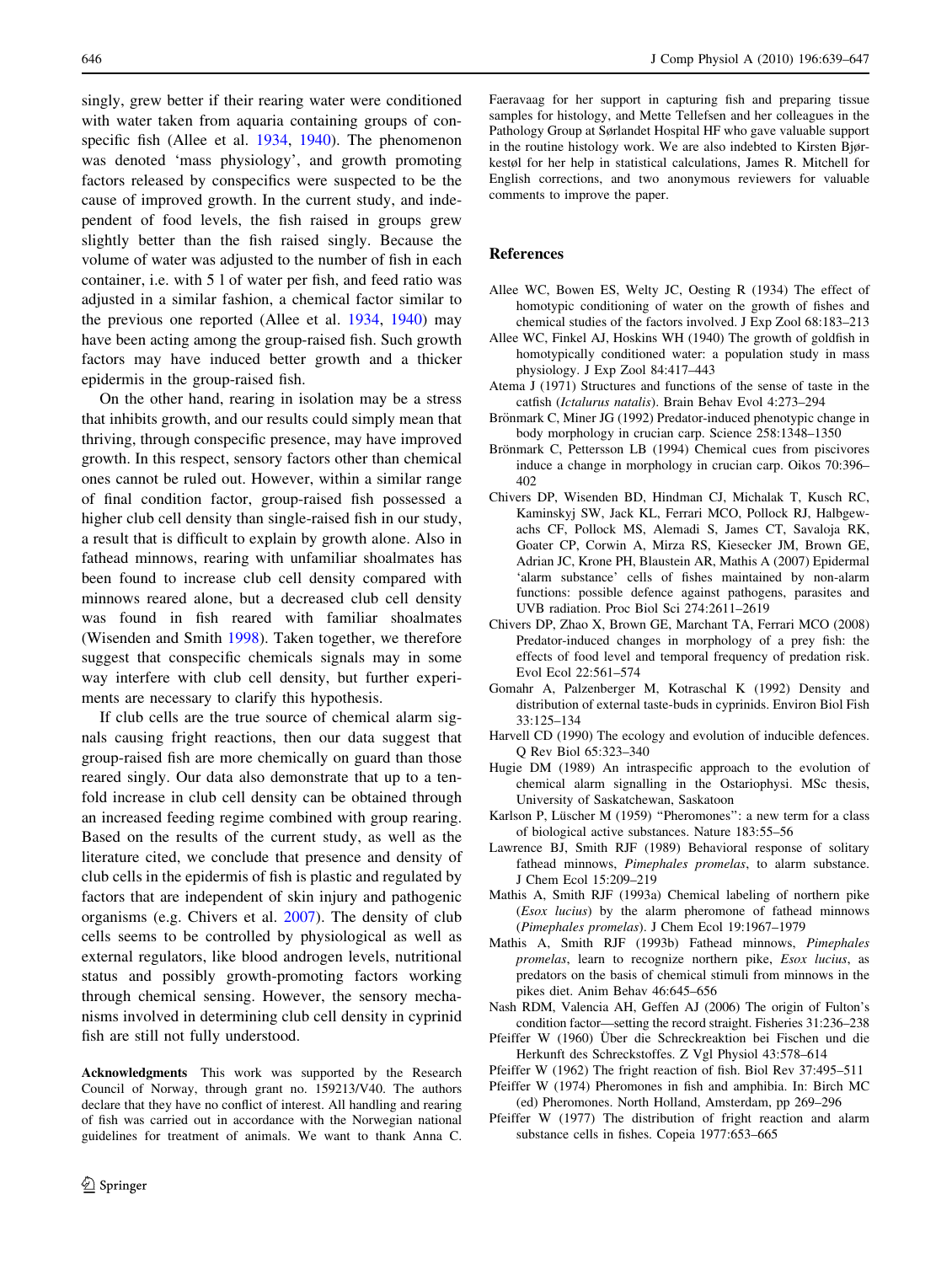<span id="page-7-0"></span>singly, grew better if their rearing water were conditioned with water taken from aquaria containing groups of conspecific fish (Allee et al. 1934, 1940). The phenomenon was denoted 'mass physiology', and growth promoting factors released by conspecifics were suspected to be the cause of improved growth. In the current study, and independent of food levels, the fish raised in groups grew slightly better than the fish raised singly. Because the volume of water was adjusted to the number of fish in each container, i.e. with 5 l of water per fish, and feed ratio was adjusted in a similar fashion, a chemical factor similar to the previous one reported (Allee et al. 1934, 1940) may have been acting among the group-raised fish. Such growth factors may have induced better growth and a thicker epidermis in the group-raised fish.

On the other hand, rearing in isolation may be a stress that inhibits growth, and our results could simply mean that thriving, through conspecific presence, may have improved growth. In this respect, sensory factors other than chemical ones cannot be ruled out. However, within a similar range of final condition factor, group-raised fish possessed a higher club cell density than single-raised fish in our study, a result that is difficult to explain by growth alone. Also in fathead minnows, rearing with unfamiliar shoalmates has been found to increase club cell density compared with minnows reared alone, but a decreased club cell density was found in fish reared with familiar shoalmates (Wisenden and Smith [1998](#page-8-0)). Taken together, we therefore suggest that conspecific chemicals signals may in some way interfere with club cell density, but further experiments are necessary to clarify this hypothesis.

If club cells are the true source of chemical alarm signals causing fright reactions, then our data suggest that group-raised fish are more chemically on guard than those reared singly. Our data also demonstrate that up to a tenfold increase in club cell density can be obtained through an increased feeding regime combined with group rearing. Based on the results of the current study, as well as the literature cited, we conclude that presence and density of club cells in the epidermis of fish is plastic and regulated by factors that are independent of skin injury and pathogenic organisms (e.g. Chivers et al. 2007). The density of club cells seems to be controlled by physiological as well as external regulators, like blood androgen levels, nutritional status and possibly growth-promoting factors working through chemical sensing. However, the sensory mechanisms involved in determining club cell density in cyprinid fish are still not fully understood.

Acknowledgments This work was supported by the Research Council of Norway, through grant no. 159213/V40. The authors declare that they have no conflict of interest. All handling and rearing of fish was carried out in accordance with the Norwegian national guidelines for treatment of animals. We want to thank Anna C. Faeravaag for her support in capturing fish and preparing tissue samples for histology, and Mette Tellefsen and her colleagues in the Pathology Group at Sørlandet Hospital HF who gave valuable support in the routine histology work. We are also indebted to Kirsten Bjørkestøl for her help in statistical calculations, James R. Mitchell for English corrections, and two anonymous reviewers for valuable comments to improve the paper.

# References

- Allee WC, Bowen ES, Welty JC, Oesting R (1934) The effect of homotypic conditioning of water on the growth of fishes and chemical studies of the factors involved. J Exp Zool 68:183–213
- Allee WC, Finkel AJ, Hoskins WH (1940) The growth of goldfish in homotypically conditioned water: a population study in mass physiology. J Exp Zool 84:417–443
- Atema J (1971) Structures and functions of the sense of taste in the catfish (Ictalurus natalis). Brain Behav Evol 4:273–294
- Brönmark C, Miner JG (1992) Predator-induced phenotypic change in body morphology in crucian carp. Science 258:1348–1350
- Brönmark C, Pettersson LB (1994) Chemical cues from piscivores induce a change in morphology in crucian carp. Oikos 70:396– 402
- Chivers DP, Wisenden BD, Hindman CJ, Michalak T, Kusch RC, Kaminskyj SW, Jack KL, Ferrari MCO, Pollock RJ, Halbgewachs CF, Pollock MS, Alemadi S, James CT, Savaloja RK, Goater CP, Corwin A, Mirza RS, Kiesecker JM, Brown GE, Adrian JC, Krone PH, Blaustein AR, Mathis A (2007) Epidermal 'alarm substance' cells of fishes maintained by non-alarm functions: possible defence against pathogens, parasites and UVB radiation. Proc Biol Sci 274:2611–2619
- Chivers DP, Zhao X, Brown GE, Marchant TA, Ferrari MCO (2008) Predator-induced changes in morphology of a prey fish: the effects of food level and temporal frequency of predation risk. Evol Ecol 22:561–574
- Gomahr A, Palzenberger M, Kotraschal K (1992) Density and distribution of external taste-buds in cyprinids. Environ Biol Fish 33:125–134
- Harvell CD (1990) The ecology and evolution of inducible defences. Q Rev Biol 65:323–340
- Hugie DM (1989) An intraspecific approach to the evolution of chemical alarm signalling in the Ostariophysi. MSc thesis, University of Saskatchewan, Saskatoon
- Karlson P, Lüscher M (1959) "Pheromones": a new term for a class of biological active substances. Nature 183:55–56
- Lawrence BJ, Smith RJF (1989) Behavioral response of solitary fathead minnows, Pimephales promelas, to alarm substance. J Chem Ecol 15:209–219
- Mathis A, Smith RJF (1993a) Chemical labeling of northern pike (Esox lucius) by the alarm pheromone of fathead minnows (Pimephales promelas). J Chem Ecol 19:1967–1979
- Mathis A, Smith RJF (1993b) Fathead minnows, Pimephales promelas, learn to recognize northern pike, Esox lucius, as predators on the basis of chemical stimuli from minnows in the pikes diet. Anim Behav 46:645–656
- Nash RDM, Valencia AH, Geffen AJ (2006) The origin of Fulton's condition factor—setting the record straight. Fisheries 31:236–238
- Pfeiffer W (1960) Über die Schreckreaktion bei Fischen und die Herkunft des Schreckstoffes. Z Vgl Physiol 43:578–614
- Pfeiffer W (1962) The fright reaction of fish. Biol Rev 37:495–511
- Pfeiffer W (1974) Pheromones in fish and amphibia. In: Birch MC (ed) Pheromones. North Holland, Amsterdam, pp 269–296
- Pfeiffer W (1977) The distribution of fright reaction and alarm substance cells in fishes. Copeia 1977:653–665